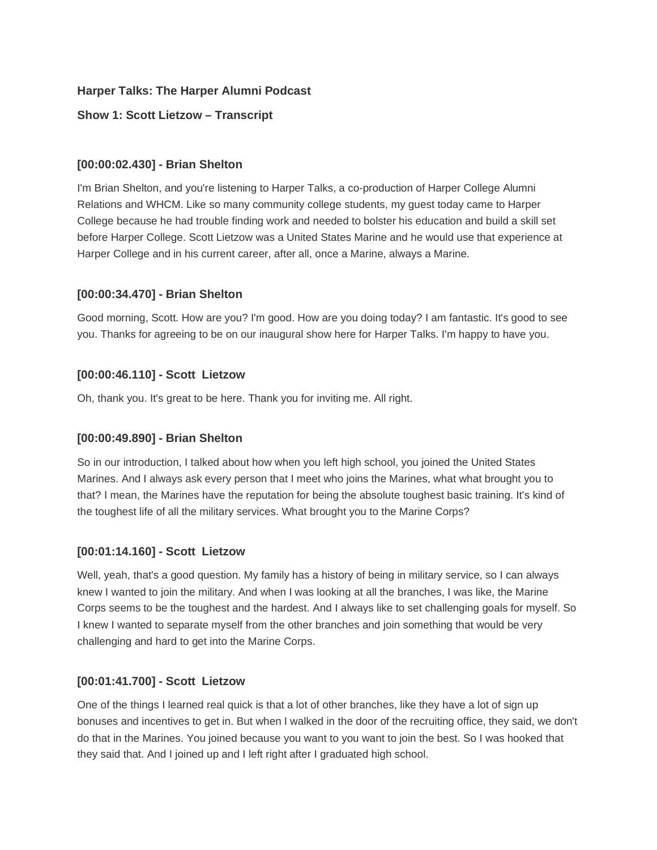## **Harper Talks: The Harper Alumni Podcast**

### **Show 1: Scott Lietzow – Transcript**

#### **[00:00:02.430] - Brian Shelton**

I'm Brian Shelton, and you're listening to Harper Talks, a co-production of Harper College Alumni Relations and WHCM. Like so many community college students, my guest today came to Harper College because he had trouble finding work and needed to bolster his education and build a skill set before Harper College. Scott Lietzow was a United States Marine and he would use that experience at Harper College and in his current career, after all, once a Marine, always a Marine.

### **[00:00:34.470] - Brian Shelton**

Good morning, Scott. How are you? I'm good. How are you doing today? I am fantastic. It's good to see you. Thanks for agreeing to be on our inaugural show here for Harper Talks. I'm happy to have you.

### **[00:00:46.110] - Scott Lietzow**

Oh, thank you. It's great to be here. Thank you for inviting me. All right.

#### **[00:00:49.890] - Brian Shelton**

So in our introduction, I talked about how when you left high school, you joined the United States Marines. And I always ask every person that I meet who joins the Marines, what what brought you to that? I mean, the Marines have the reputation for being the absolute toughest basic training. It's kind of the toughest life of all the military services. What brought you to the Marine Corps?

#### **[00:01:14.160] - Scott Lietzow**

Well, yeah, that's a good question. My family has a history of being in military service, so I can always knew I wanted to join the military. And when I was looking at all the branches, I was like, the Marine Corps seems to be the toughest and the hardest. And I always like to set challenging goals for myself. So I knew I wanted to separate myself from the other branches and join something that would be very challenging and hard to get into the Marine Corps.

#### **[00:01:41.700] - Scott Lietzow**

One of the things I learned real quick is that a lot of other branches, like they have a lot of sign up bonuses and incentives to get in. But when I walked in the door of the recruiting office, they said, we don't do that in the Marines. You joined because you want to you want to join the best. So I was hooked that they said that. And I joined up and I left right after I graduated high school.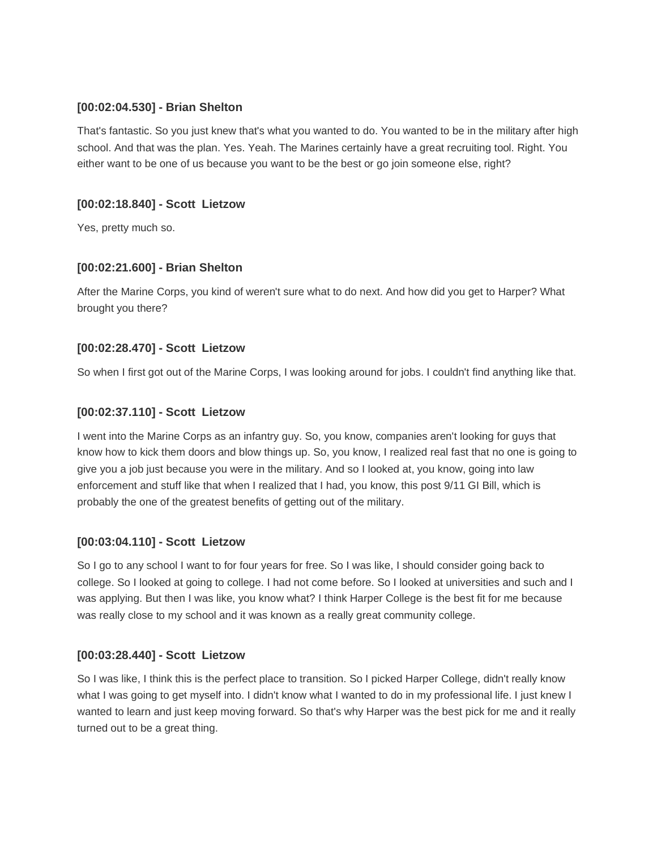### **[00:02:04.530] - Brian Shelton**

That's fantastic. So you just knew that's what you wanted to do. You wanted to be in the military after high school. And that was the plan. Yes. Yeah. The Marines certainly have a great recruiting tool. Right. You either want to be one of us because you want to be the best or go join someone else, right?

### **[00:02:18.840] - Scott Lietzow**

Yes, pretty much so.

### **[00:02:21.600] - Brian Shelton**

After the Marine Corps, you kind of weren't sure what to do next. And how did you get to Harper? What brought you there?

### **[00:02:28.470] - Scott Lietzow**

So when I first got out of the Marine Corps, I was looking around for jobs. I couldn't find anything like that.

### **[00:02:37.110] - Scott Lietzow**

I went into the Marine Corps as an infantry guy. So, you know, companies aren't looking for guys that know how to kick them doors and blow things up. So, you know, I realized real fast that no one is going to give you a job just because you were in the military. And so I looked at, you know, going into law enforcement and stuff like that when I realized that I had, you know, this post 9/11 GI Bill, which is probably the one of the greatest benefits of getting out of the military.

#### **[00:03:04.110] - Scott Lietzow**

So I go to any school I want to for four years for free. So I was like, I should consider going back to college. So I looked at going to college. I had not come before. So I looked at universities and such and I was applying. But then I was like, you know what? I think Harper College is the best fit for me because was really close to my school and it was known as a really great community college.

#### **[00:03:28.440] - Scott Lietzow**

So I was like, I think this is the perfect place to transition. So I picked Harper College, didn't really know what I was going to get myself into. I didn't know what I wanted to do in my professional life. I just knew I wanted to learn and just keep moving forward. So that's why Harper was the best pick for me and it really turned out to be a great thing.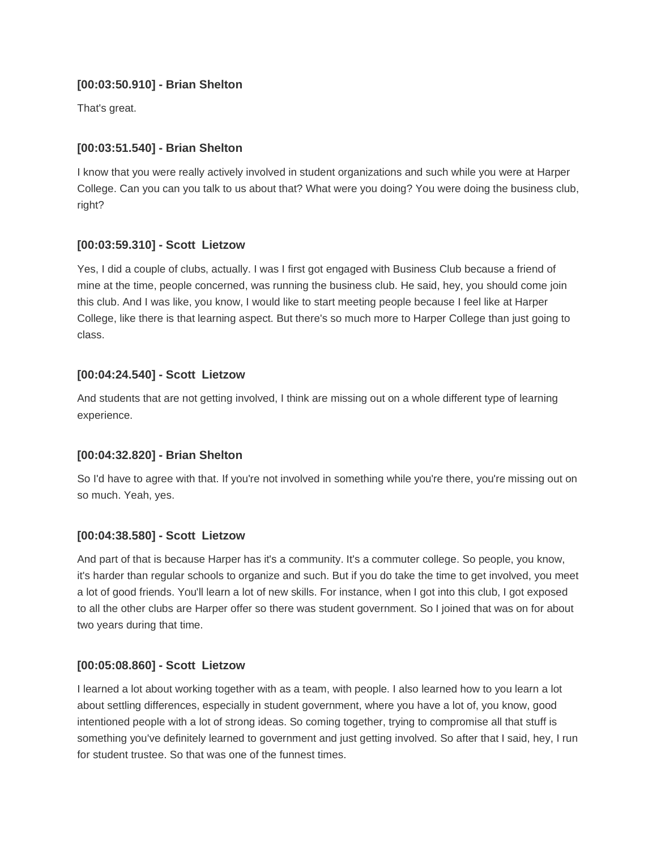## **[00:03:50.910] - Brian Shelton**

That's great.

## **[00:03:51.540] - Brian Shelton**

I know that you were really actively involved in student organizations and such while you were at Harper College. Can you can you talk to us about that? What were you doing? You were doing the business club, right?

## **[00:03:59.310] - Scott Lietzow**

Yes, I did a couple of clubs, actually. I was I first got engaged with Business Club because a friend of mine at the time, people concerned, was running the business club. He said, hey, you should come join this club. And I was like, you know, I would like to start meeting people because I feel like at Harper College, like there is that learning aspect. But there's so much more to Harper College than just going to class.

# **[00:04:24.540] - Scott Lietzow**

And students that are not getting involved, I think are missing out on a whole different type of learning experience.

## **[00:04:32.820] - Brian Shelton**

So I'd have to agree with that. If you're not involved in something while you're there, you're missing out on so much. Yeah, yes.

## **[00:04:38.580] - Scott Lietzow**

And part of that is because Harper has it's a community. It's a commuter college. So people, you know, it's harder than regular schools to organize and such. But if you do take the time to get involved, you meet a lot of good friends. You'll learn a lot of new skills. For instance, when I got into this club, I got exposed to all the other clubs are Harper offer so there was student government. So I joined that was on for about two years during that time.

## **[00:05:08.860] - Scott Lietzow**

I learned a lot about working together with as a team, with people. I also learned how to you learn a lot about settling differences, especially in student government, where you have a lot of, you know, good intentioned people with a lot of strong ideas. So coming together, trying to compromise all that stuff is something you've definitely learned to government and just getting involved. So after that I said, hey, I run for student trustee. So that was one of the funnest times.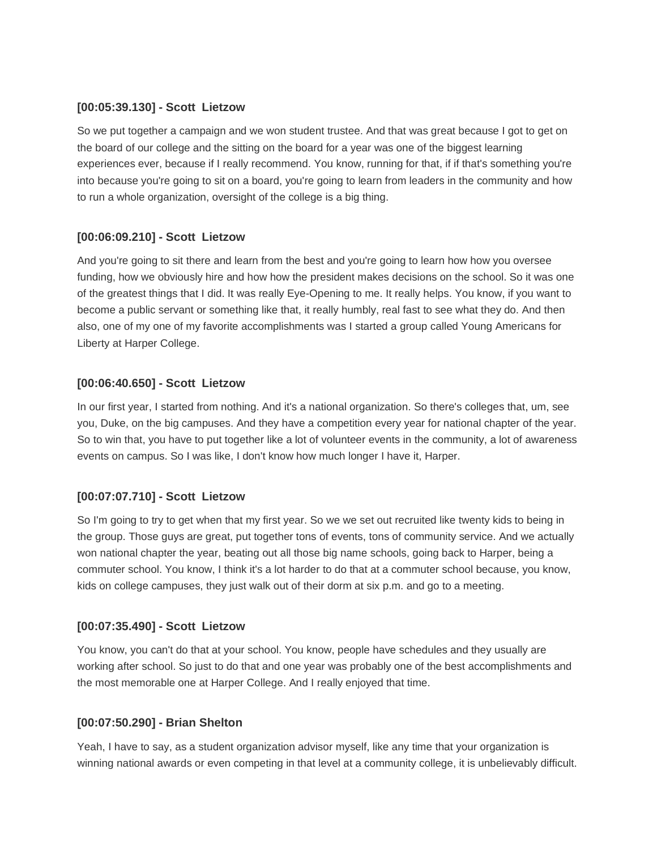### **[00:05:39.130] - Scott Lietzow**

So we put together a campaign and we won student trustee. And that was great because I got to get on the board of our college and the sitting on the board for a year was one of the biggest learning experiences ever, because if I really recommend. You know, running for that, if if that's something you're into because you're going to sit on a board, you're going to learn from leaders in the community and how to run a whole organization, oversight of the college is a big thing.

## **[00:06:09.210] - Scott Lietzow**

And you're going to sit there and learn from the best and you're going to learn how how you oversee funding, how we obviously hire and how how the president makes decisions on the school. So it was one of the greatest things that I did. It was really Eye-Opening to me. It really helps. You know, if you want to become a public servant or something like that, it really humbly, real fast to see what they do. And then also, one of my one of my favorite accomplishments was I started a group called Young Americans for Liberty at Harper College.

## **[00:06:40.650] - Scott Lietzow**

In our first year, I started from nothing. And it's a national organization. So there's colleges that, um, see you, Duke, on the big campuses. And they have a competition every year for national chapter of the year. So to win that, you have to put together like a lot of volunteer events in the community, a lot of awareness events on campus. So I was like, I don't know how much longer I have it, Harper.

## **[00:07:07.710] - Scott Lietzow**

So I'm going to try to get when that my first year. So we we set out recruited like twenty kids to being in the group. Those guys are great, put together tons of events, tons of community service. And we actually won national chapter the year, beating out all those big name schools, going back to Harper, being a commuter school. You know, I think it's a lot harder to do that at a commuter school because, you know, kids on college campuses, they just walk out of their dorm at six p.m. and go to a meeting.

## **[00:07:35.490] - Scott Lietzow**

You know, you can't do that at your school. You know, people have schedules and they usually are working after school. So just to do that and one year was probably one of the best accomplishments and the most memorable one at Harper College. And I really enjoyed that time.

#### **[00:07:50.290] - Brian Shelton**

Yeah, I have to say, as a student organization advisor myself, like any time that your organization is winning national awards or even competing in that level at a community college, it is unbelievably difficult.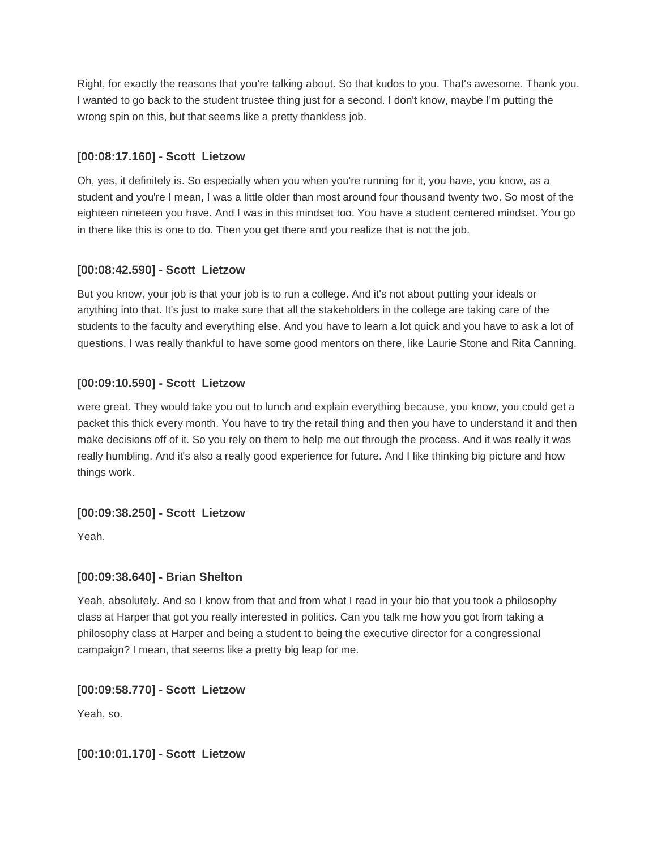Right, for exactly the reasons that you're talking about. So that kudos to you. That's awesome. Thank you. I wanted to go back to the student trustee thing just for a second. I don't know, maybe I'm putting the wrong spin on this, but that seems like a pretty thankless job.

# **[00:08:17.160] - Scott Lietzow**

Oh, yes, it definitely is. So especially when you when you're running for it, you have, you know, as a student and you're I mean, I was a little older than most around four thousand twenty two. So most of the eighteen nineteen you have. And I was in this mindset too. You have a student centered mindset. You go in there like this is one to do. Then you get there and you realize that is not the job.

# **[00:08:42.590] - Scott Lietzow**

But you know, your job is that your job is to run a college. And it's not about putting your ideals or anything into that. It's just to make sure that all the stakeholders in the college are taking care of the students to the faculty and everything else. And you have to learn a lot quick and you have to ask a lot of questions. I was really thankful to have some good mentors on there, like Laurie Stone and Rita Canning.

# **[00:09:10.590] - Scott Lietzow**

were great. They would take you out to lunch and explain everything because, you know, you could get a packet this thick every month. You have to try the retail thing and then you have to understand it and then make decisions off of it. So you rely on them to help me out through the process. And it was really it was really humbling. And it's also a really good experience for future. And I like thinking big picture and how things work.

## **[00:09:38.250] - Scott Lietzow**

Yeah.

## **[00:09:38.640] - Brian Shelton**

Yeah, absolutely. And so I know from that and from what I read in your bio that you took a philosophy class at Harper that got you really interested in politics. Can you talk me how you got from taking a philosophy class at Harper and being a student to being the executive director for a congressional campaign? I mean, that seems like a pretty big leap for me.

## **[00:09:58.770] - Scott Lietzow**

Yeah, so.

## **[00:10:01.170] - Scott Lietzow**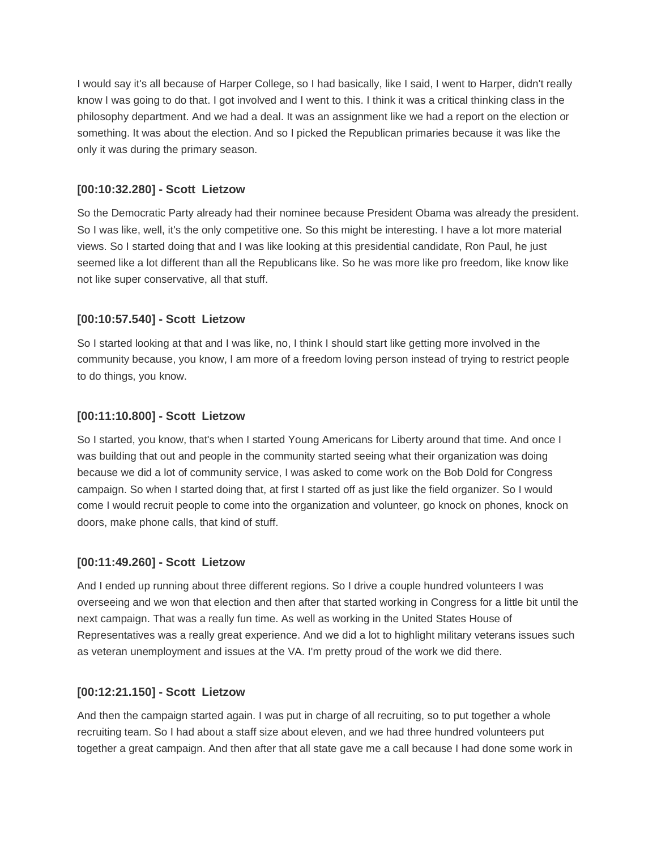I would say it's all because of Harper College, so I had basically, like I said, I went to Harper, didn't really know I was going to do that. I got involved and I went to this. I think it was a critical thinking class in the philosophy department. And we had a deal. It was an assignment like we had a report on the election or something. It was about the election. And so I picked the Republican primaries because it was like the only it was during the primary season.

#### **[00:10:32.280] - Scott Lietzow**

So the Democratic Party already had their nominee because President Obama was already the president. So I was like, well, it's the only competitive one. So this might be interesting. I have a lot more material views. So I started doing that and I was like looking at this presidential candidate, Ron Paul, he just seemed like a lot different than all the Republicans like. So he was more like pro freedom, like know like not like super conservative, all that stuff.

### **[00:10:57.540] - Scott Lietzow**

So I started looking at that and I was like, no, I think I should start like getting more involved in the community because, you know, I am more of a freedom loving person instead of trying to restrict people to do things, you know.

### **[00:11:10.800] - Scott Lietzow**

So I started, you know, that's when I started Young Americans for Liberty around that time. And once I was building that out and people in the community started seeing what their organization was doing because we did a lot of community service, I was asked to come work on the Bob Dold for Congress campaign. So when I started doing that, at first I started off as just like the field organizer. So I would come I would recruit people to come into the organization and volunteer, go knock on phones, knock on doors, make phone calls, that kind of stuff.

#### **[00:11:49.260] - Scott Lietzow**

And I ended up running about three different regions. So I drive a couple hundred volunteers I was overseeing and we won that election and then after that started working in Congress for a little bit until the next campaign. That was a really fun time. As well as working in the United States House of Representatives was a really great experience. And we did a lot to highlight military veterans issues such as veteran unemployment and issues at the VA. I'm pretty proud of the work we did there.

#### **[00:12:21.150] - Scott Lietzow**

And then the campaign started again. I was put in charge of all recruiting, so to put together a whole recruiting team. So I had about a staff size about eleven, and we had three hundred volunteers put together a great campaign. And then after that all state gave me a call because I had done some work in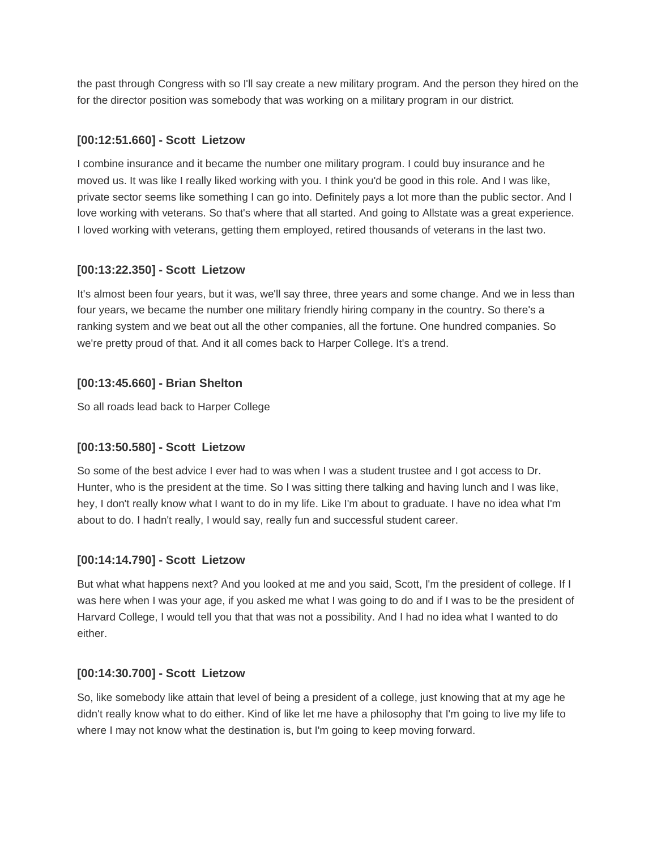the past through Congress with so I'll say create a new military program. And the person they hired on the for the director position was somebody that was working on a military program in our district.

### **[00:12:51.660] - Scott Lietzow**

I combine insurance and it became the number one military program. I could buy insurance and he moved us. It was like I really liked working with you. I think you'd be good in this role. And I was like, private sector seems like something I can go into. Definitely pays a lot more than the public sector. And I love working with veterans. So that's where that all started. And going to Allstate was a great experience. I loved working with veterans, getting them employed, retired thousands of veterans in the last two.

## **[00:13:22.350] - Scott Lietzow**

It's almost been four years, but it was, we'll say three, three years and some change. And we in less than four years, we became the number one military friendly hiring company in the country. So there's a ranking system and we beat out all the other companies, all the fortune. One hundred companies. So we're pretty proud of that. And it all comes back to Harper College. It's a trend.

## **[00:13:45.660] - Brian Shelton**

So all roads lead back to Harper College

## **[00:13:50.580] - Scott Lietzow**

So some of the best advice I ever had to was when I was a student trustee and I got access to Dr. Hunter, who is the president at the time. So I was sitting there talking and having lunch and I was like, hey, I don't really know what I want to do in my life. Like I'm about to graduate. I have no idea what I'm about to do. I hadn't really, I would say, really fun and successful student career.

## **[00:14:14.790] - Scott Lietzow**

But what what happens next? And you looked at me and you said, Scott, I'm the president of college. If I was here when I was your age, if you asked me what I was going to do and if I was to be the president of Harvard College, I would tell you that that was not a possibility. And I had no idea what I wanted to do either.

## **[00:14:30.700] - Scott Lietzow**

So, like somebody like attain that level of being a president of a college, just knowing that at my age he didn't really know what to do either. Kind of like let me have a philosophy that I'm going to live my life to where I may not know what the destination is, but I'm going to keep moving forward.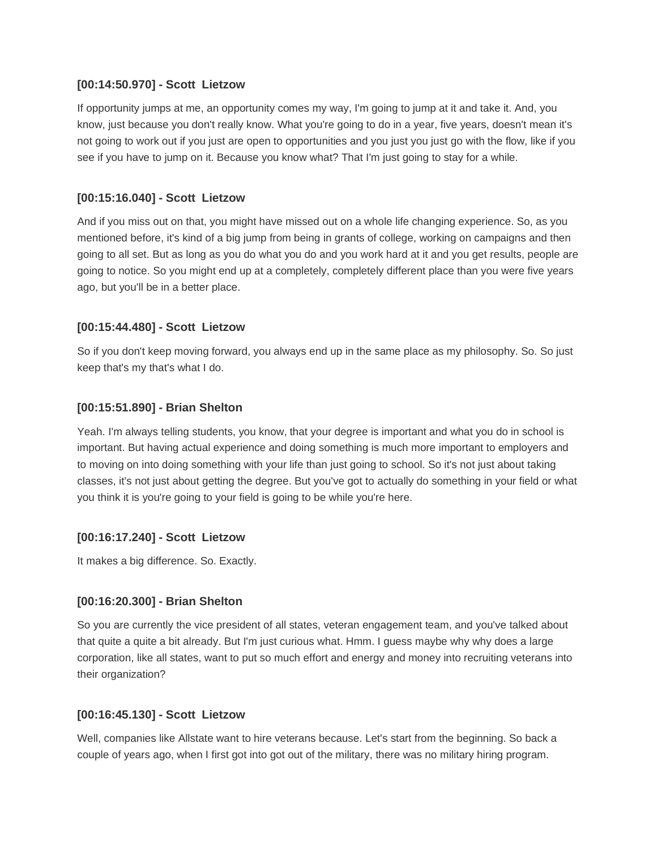#### **[00:14:50.970] - Scott Lietzow**

If opportunity jumps at me, an opportunity comes my way, I'm going to jump at it and take it. And, you know, just because you don't really know. What you're going to do in a year, five years, doesn't mean it's not going to work out if you just are open to opportunities and you just you just go with the flow, like if you see if you have to jump on it. Because you know what? That I'm just going to stay for a while.

### **[00:15:16.040] - Scott Lietzow**

And if you miss out on that, you might have missed out on a whole life changing experience. So, as you mentioned before, it's kind of a big jump from being in grants of college, working on campaigns and then going to all set. But as long as you do what you do and you work hard at it and you get results, people are going to notice. So you might end up at a completely, completely different place than you were five years ago, but you'll be in a better place.

### **[00:15:44.480] - Scott Lietzow**

So if you don't keep moving forward, you always end up in the same place as my philosophy. So. So just keep that's my that's what I do.

### **[00:15:51.890] - Brian Shelton**

Yeah. I'm always telling students, you know, that your degree is important and what you do in school is important. But having actual experience and doing something is much more important to employers and to moving on into doing something with your life than just going to school. So it's not just about taking classes, it's not just about getting the degree. But you've got to actually do something in your field or what you think it is you're going to your field is going to be while you're here.

## **[00:16:17.240] - Scott Lietzow**

It makes a big difference. So. Exactly.

#### **[00:16:20.300] - Brian Shelton**

So you are currently the vice president of all states, veteran engagement team, and you've talked about that quite a quite a bit already. But I'm just curious what. Hmm. I guess maybe why why does a large corporation, like all states, want to put so much effort and energy and money into recruiting veterans into their organization?

#### **[00:16:45.130] - Scott Lietzow**

Well, companies like Allstate want to hire veterans because. Let's start from the beginning. So back a couple of years ago, when I first got into got out of the military, there was no military hiring program.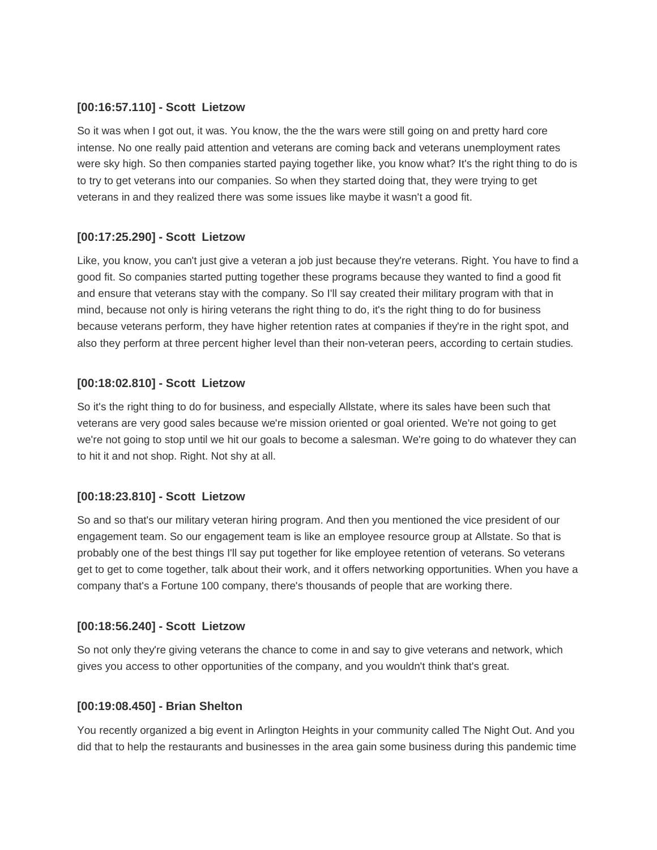#### **[00:16:57.110] - Scott Lietzow**

So it was when I got out, it was. You know, the the the wars were still going on and pretty hard core intense. No one really paid attention and veterans are coming back and veterans unemployment rates were sky high. So then companies started paying together like, you know what? It's the right thing to do is to try to get veterans into our companies. So when they started doing that, they were trying to get veterans in and they realized there was some issues like maybe it wasn't a good fit.

## **[00:17:25.290] - Scott Lietzow**

Like, you know, you can't just give a veteran a job just because they're veterans. Right. You have to find a good fit. So companies started putting together these programs because they wanted to find a good fit and ensure that veterans stay with the company. So I'll say created their military program with that in mind, because not only is hiring veterans the right thing to do, it's the right thing to do for business because veterans perform, they have higher retention rates at companies if they're in the right spot, and also they perform at three percent higher level than their non-veteran peers, according to certain studies.

### **[00:18:02.810] - Scott Lietzow**

So it's the right thing to do for business, and especially Allstate, where its sales have been such that veterans are very good sales because we're mission oriented or goal oriented. We're not going to get we're not going to stop until we hit our goals to become a salesman. We're going to do whatever they can to hit it and not shop. Right. Not shy at all.

#### **[00:18:23.810] - Scott Lietzow**

So and so that's our military veteran hiring program. And then you mentioned the vice president of our engagement team. So our engagement team is like an employee resource group at Allstate. So that is probably one of the best things I'll say put together for like employee retention of veterans. So veterans get to get to come together, talk about their work, and it offers networking opportunities. When you have a company that's a Fortune 100 company, there's thousands of people that are working there.

## **[00:18:56.240] - Scott Lietzow**

So not only they're giving veterans the chance to come in and say to give veterans and network, which gives you access to other opportunities of the company, and you wouldn't think that's great.

#### **[00:19:08.450] - Brian Shelton**

You recently organized a big event in Arlington Heights in your community called The Night Out. And you did that to help the restaurants and businesses in the area gain some business during this pandemic time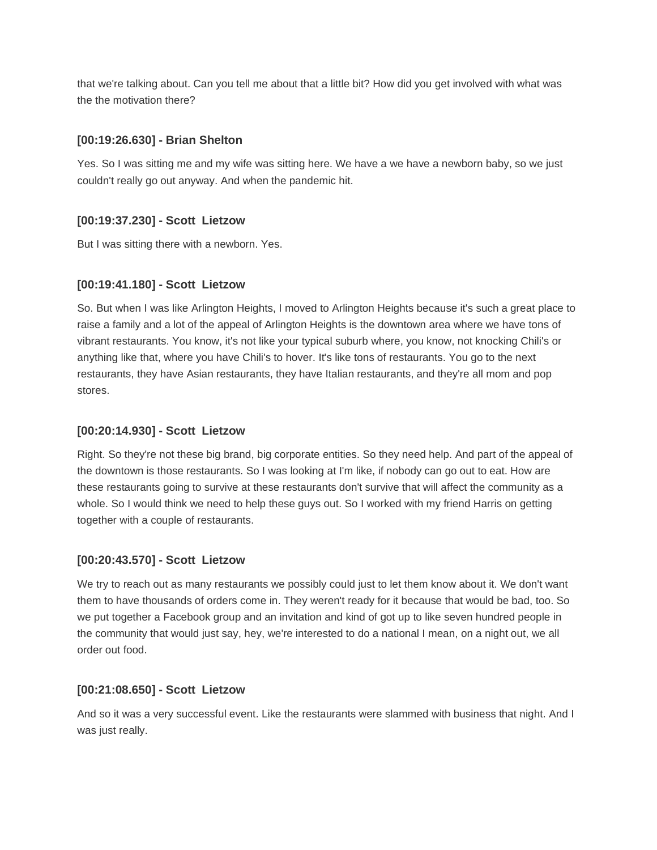that we're talking about. Can you tell me about that a little bit? How did you get involved with what was the the motivation there?

### **[00:19:26.630] - Brian Shelton**

Yes. So I was sitting me and my wife was sitting here. We have a we have a newborn baby, so we just couldn't really go out anyway. And when the pandemic hit.

### **[00:19:37.230] - Scott Lietzow**

But I was sitting there with a newborn. Yes.

### **[00:19:41.180] - Scott Lietzow**

So. But when I was like Arlington Heights, I moved to Arlington Heights because it's such a great place to raise a family and a lot of the appeal of Arlington Heights is the downtown area where we have tons of vibrant restaurants. You know, it's not like your typical suburb where, you know, not knocking Chili's or anything like that, where you have Chili's to hover. It's like tons of restaurants. You go to the next restaurants, they have Asian restaurants, they have Italian restaurants, and they're all mom and pop stores.

### **[00:20:14.930] - Scott Lietzow**

Right. So they're not these big brand, big corporate entities. So they need help. And part of the appeal of the downtown is those restaurants. So I was looking at I'm like, if nobody can go out to eat. How are these restaurants going to survive at these restaurants don't survive that will affect the community as a whole. So I would think we need to help these guys out. So I worked with my friend Harris on getting together with a couple of restaurants.

#### **[00:20:43.570] - Scott Lietzow**

We try to reach out as many restaurants we possibly could just to let them know about it. We don't want them to have thousands of orders come in. They weren't ready for it because that would be bad, too. So we put together a Facebook group and an invitation and kind of got up to like seven hundred people in the community that would just say, hey, we're interested to do a national I mean, on a night out, we all order out food.

#### **[00:21:08.650] - Scott Lietzow**

And so it was a very successful event. Like the restaurants were slammed with business that night. And I was just really.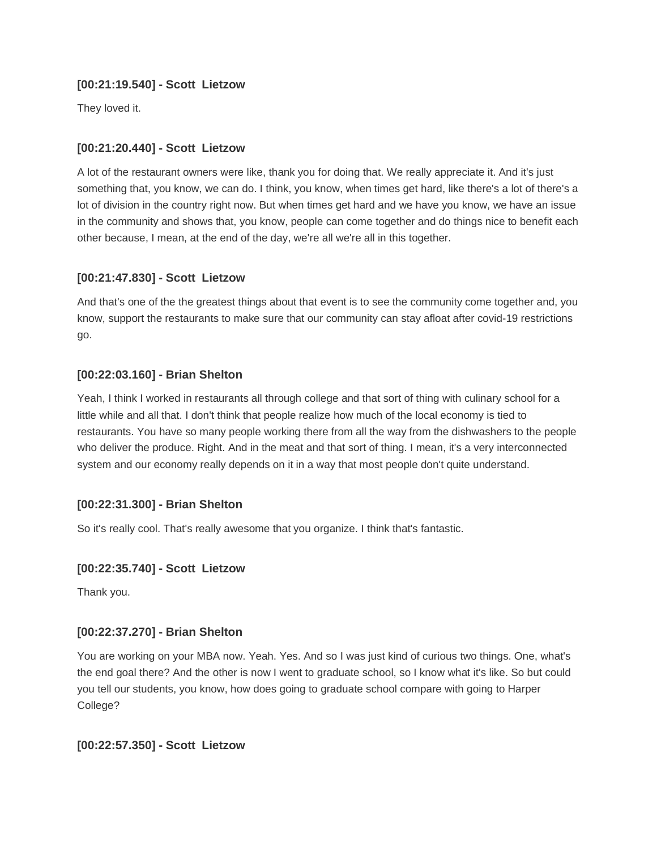### **[00:21:19.540] - Scott Lietzow**

They loved it.

## **[00:21:20.440] - Scott Lietzow**

A lot of the restaurant owners were like, thank you for doing that. We really appreciate it. And it's just something that, you know, we can do. I think, you know, when times get hard, like there's a lot of there's a lot of division in the country right now. But when times get hard and we have you know, we have an issue in the community and shows that, you know, people can come together and do things nice to benefit each other because, I mean, at the end of the day, we're all we're all in this together.

## **[00:21:47.830] - Scott Lietzow**

And that's one of the the greatest things about that event is to see the community come together and, you know, support the restaurants to make sure that our community can stay afloat after covid-19 restrictions go.

# **[00:22:03.160] - Brian Shelton**

Yeah, I think I worked in restaurants all through college and that sort of thing with culinary school for a little while and all that. I don't think that people realize how much of the local economy is tied to restaurants. You have so many people working there from all the way from the dishwashers to the people who deliver the produce. Right. And in the meat and that sort of thing. I mean, it's a very interconnected system and our economy really depends on it in a way that most people don't quite understand.

# **[00:22:31.300] - Brian Shelton**

So it's really cool. That's really awesome that you organize. I think that's fantastic.

## **[00:22:35.740] - Scott Lietzow**

Thank you.

## **[00:22:37.270] - Brian Shelton**

You are working on your MBA now. Yeah. Yes. And so I was just kind of curious two things. One, what's the end goal there? And the other is now I went to graduate school, so I know what it's like. So but could you tell our students, you know, how does going to graduate school compare with going to Harper College?

## **[00:22:57.350] - Scott Lietzow**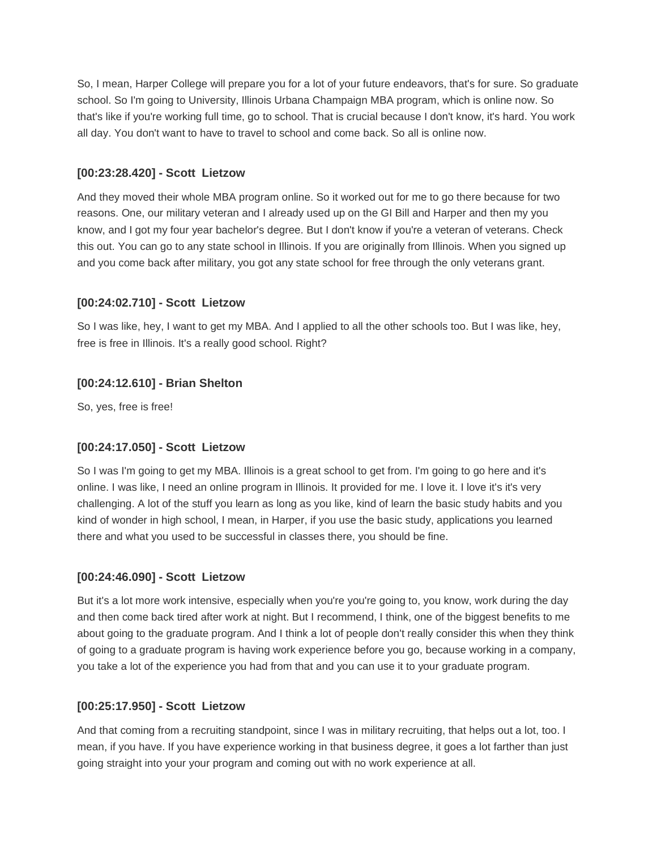So, I mean, Harper College will prepare you for a lot of your future endeavors, that's for sure. So graduate school. So I'm going to University, Illinois Urbana Champaign MBA program, which is online now. So that's like if you're working full time, go to school. That is crucial because I don't know, it's hard. You work all day. You don't want to have to travel to school and come back. So all is online now.

### **[00:23:28.420] - Scott Lietzow**

And they moved their whole MBA program online. So it worked out for me to go there because for two reasons. One, our military veteran and I already used up on the GI Bill and Harper and then my you know, and I got my four year bachelor's degree. But I don't know if you're a veteran of veterans. Check this out. You can go to any state school in Illinois. If you are originally from Illinois. When you signed up and you come back after military, you got any state school for free through the only veterans grant.

## **[00:24:02.710] - Scott Lietzow**

So I was like, hey, I want to get my MBA. And I applied to all the other schools too. But I was like, hey, free is free in Illinois. It's a really good school. Right?

## **[00:24:12.610] - Brian Shelton**

So, yes, free is free!

## **[00:24:17.050] - Scott Lietzow**

So I was I'm going to get my MBA. Illinois is a great school to get from. I'm going to go here and it's online. I was like, I need an online program in Illinois. It provided for me. I love it. I love it's it's very challenging. A lot of the stuff you learn as long as you like, kind of learn the basic study habits and you kind of wonder in high school, I mean, in Harper, if you use the basic study, applications you learned there and what you used to be successful in classes there, you should be fine.

#### **[00:24:46.090] - Scott Lietzow**

But it's a lot more work intensive, especially when you're you're going to, you know, work during the day and then come back tired after work at night. But I recommend, I think, one of the biggest benefits to me about going to the graduate program. And I think a lot of people don't really consider this when they think of going to a graduate program is having work experience before you go, because working in a company, you take a lot of the experience you had from that and you can use it to your graduate program.

#### **[00:25:17.950] - Scott Lietzow**

And that coming from a recruiting standpoint, since I was in military recruiting, that helps out a lot, too. I mean, if you have. If you have experience working in that business degree, it goes a lot farther than just going straight into your your program and coming out with no work experience at all.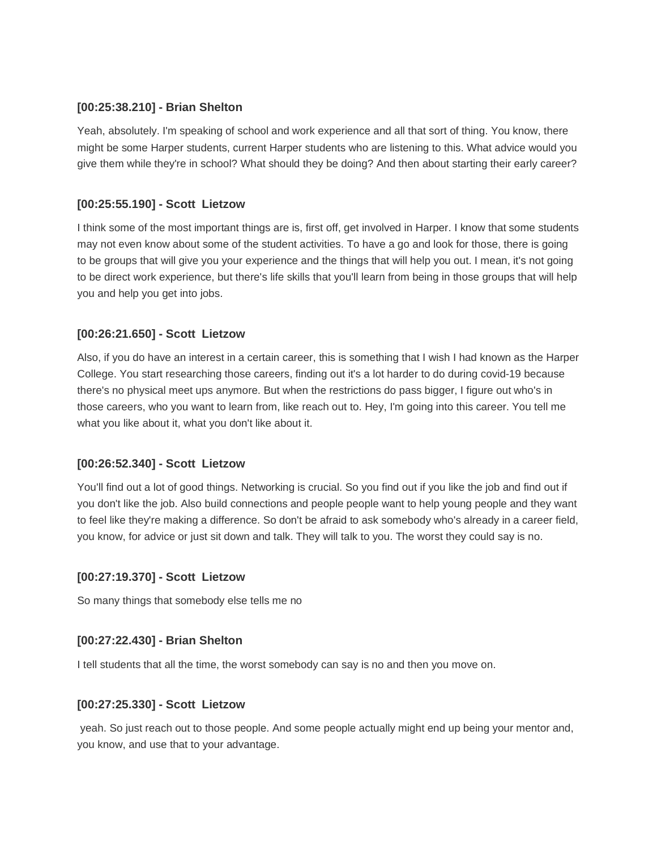#### **[00:25:38.210] - Brian Shelton**

Yeah, absolutely. I'm speaking of school and work experience and all that sort of thing. You know, there might be some Harper students, current Harper students who are listening to this. What advice would you give them while they're in school? What should they be doing? And then about starting their early career?

### **[00:25:55.190] - Scott Lietzow**

I think some of the most important things are is, first off, get involved in Harper. I know that some students may not even know about some of the student activities. To have a go and look for those, there is going to be groups that will give you your experience and the things that will help you out. I mean, it's not going to be direct work experience, but there's life skills that you'll learn from being in those groups that will help you and help you get into jobs.

### **[00:26:21.650] - Scott Lietzow**

Also, if you do have an interest in a certain career, this is something that I wish I had known as the Harper College. You start researching those careers, finding out it's a lot harder to do during covid-19 because there's no physical meet ups anymore. But when the restrictions do pass bigger, I figure out who's in those careers, who you want to learn from, like reach out to. Hey, I'm going into this career. You tell me what you like about it, what you don't like about it.

## **[00:26:52.340] - Scott Lietzow**

You'll find out a lot of good things. Networking is crucial. So you find out if you like the job and find out if you don't like the job. Also build connections and people people want to help young people and they want to feel like they're making a difference. So don't be afraid to ask somebody who's already in a career field, you know, for advice or just sit down and talk. They will talk to you. The worst they could say is no.

#### **[00:27:19.370] - Scott Lietzow**

So many things that somebody else tells me no

## **[00:27:22.430] - Brian Shelton**

I tell students that all the time, the worst somebody can say is no and then you move on.

#### **[00:27:25.330] - Scott Lietzow**

yeah. So just reach out to those people. And some people actually might end up being your mentor and, you know, and use that to your advantage.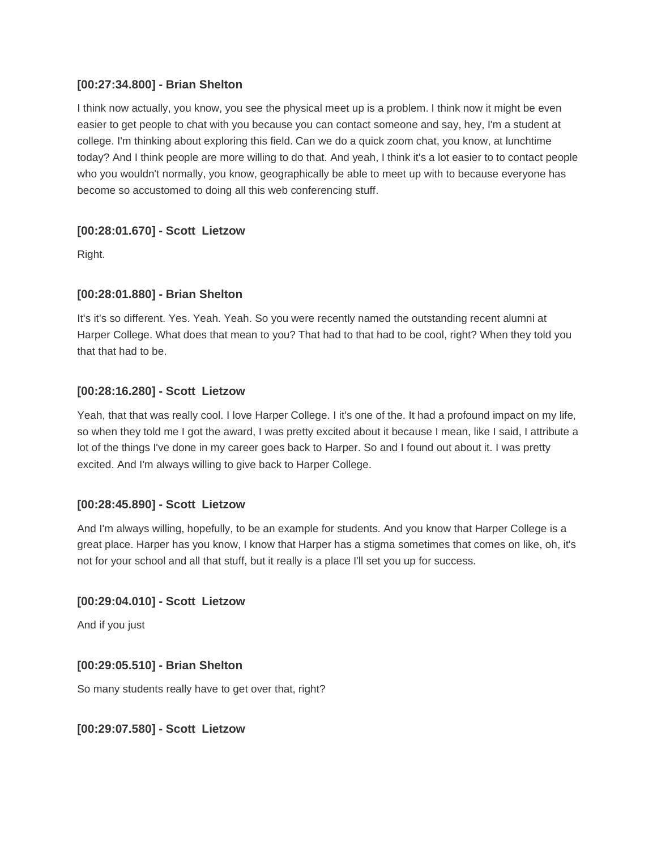#### **[00:27:34.800] - Brian Shelton**

I think now actually, you know, you see the physical meet up is a problem. I think now it might be even easier to get people to chat with you because you can contact someone and say, hey, I'm a student at college. I'm thinking about exploring this field. Can we do a quick zoom chat, you know, at lunchtime today? And I think people are more willing to do that. And yeah, I think it's a lot easier to to contact people who you wouldn't normally, you know, geographically be able to meet up with to because everyone has become so accustomed to doing all this web conferencing stuff.

## **[00:28:01.670] - Scott Lietzow**

Right.

## **[00:28:01.880] - Brian Shelton**

It's it's so different. Yes. Yeah. Yeah. So you were recently named the outstanding recent alumni at Harper College. What does that mean to you? That had to that had to be cool, right? When they told you that that had to be.

#### **[00:28:16.280] - Scott Lietzow**

Yeah, that that was really cool. I love Harper College. I it's one of the. It had a profound impact on my life, so when they told me I got the award, I was pretty excited about it because I mean, like I said, I attribute a lot of the things I've done in my career goes back to Harper. So and I found out about it. I was pretty excited. And I'm always willing to give back to Harper College.

#### **[00:28:45.890] - Scott Lietzow**

And I'm always willing, hopefully, to be an example for students. And you know that Harper College is a great place. Harper has you know, I know that Harper has a stigma sometimes that comes on like, oh, it's not for your school and all that stuff, but it really is a place I'll set you up for success.

#### **[00:29:04.010] - Scott Lietzow**

And if you just

#### **[00:29:05.510] - Brian Shelton**

So many students really have to get over that, right?

#### **[00:29:07.580] - Scott Lietzow**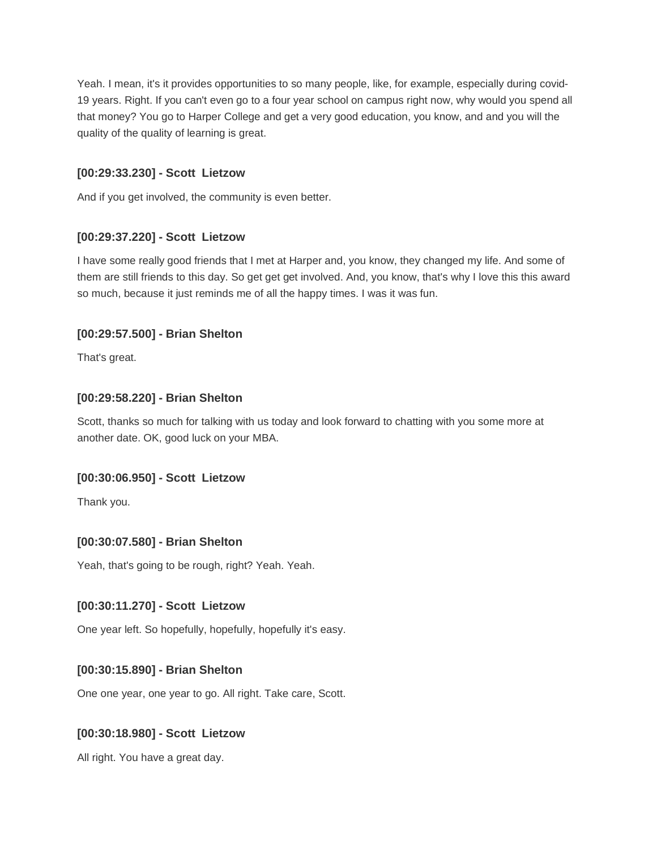Yeah. I mean, it's it provides opportunities to so many people, like, for example, especially during covid-19 years. Right. If you can't even go to a four year school on campus right now, why would you spend all that money? You go to Harper College and get a very good education, you know, and and you will the quality of the quality of learning is great.

#### **[00:29:33.230] - Scott Lietzow**

And if you get involved, the community is even better.

### **[00:29:37.220] - Scott Lietzow**

I have some really good friends that I met at Harper and, you know, they changed my life. And some of them are still friends to this day. So get get get involved. And, you know, that's why I love this this award so much, because it just reminds me of all the happy times. I was it was fun.

### **[00:29:57.500] - Brian Shelton**

That's great.

#### **[00:29:58.220] - Brian Shelton**

Scott, thanks so much for talking with us today and look forward to chatting with you some more at another date. OK, good luck on your MBA.

#### **[00:30:06.950] - Scott Lietzow**

Thank you.

#### **[00:30:07.580] - Brian Shelton**

Yeah, that's going to be rough, right? Yeah. Yeah.

#### **[00:30:11.270] - Scott Lietzow**

One year left. So hopefully, hopefully, hopefully it's easy.

#### **[00:30:15.890] - Brian Shelton**

One one year, one year to go. All right. Take care, Scott.

#### **[00:30:18.980] - Scott Lietzow**

All right. You have a great day.